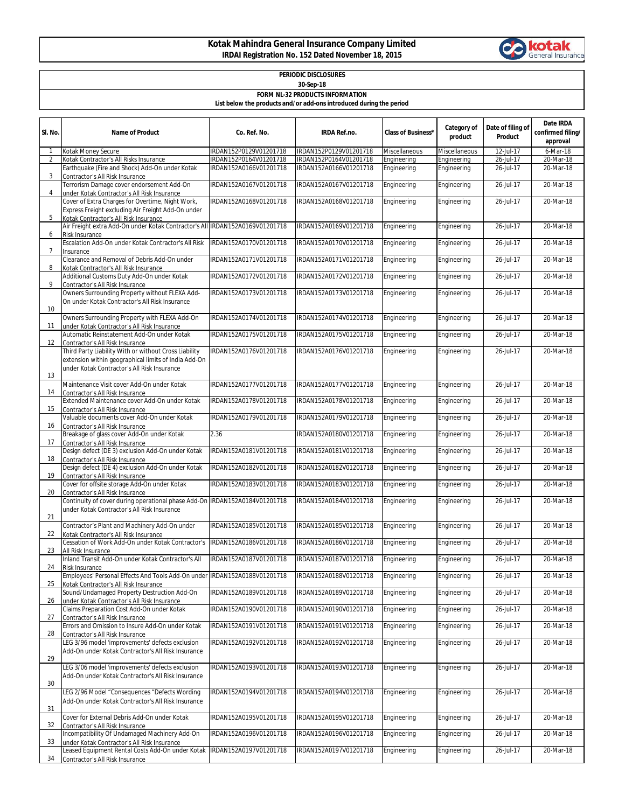## **Kotak Mahindra General Insurance Company Limited IRDAI Registration No. 152 Dated November 18, 2015**



| PERIODIC DISCLOSURES<br>30-Sep-18                                   |                                                                                                                                                               |                                                  |                                                  |                            |                               |                              |                                            |  |  |  |  |  |
|---------------------------------------------------------------------|---------------------------------------------------------------------------------------------------------------------------------------------------------------|--------------------------------------------------|--------------------------------------------------|----------------------------|-------------------------------|------------------------------|--------------------------------------------|--|--|--|--|--|
| <b>FORM NL-32 PRODUCTS INFORMATION</b>                              |                                                                                                                                                               |                                                  |                                                  |                            |                               |                              |                                            |  |  |  |  |  |
| List below the products and/or add-ons introduced during the period |                                                                                                                                                               |                                                  |                                                  |                            |                               |                              |                                            |  |  |  |  |  |
| SI. No.                                                             | <b>Name of Product</b>                                                                                                                                        | Co. Ref. No.                                     | <b>IRDA Ref.no.</b>                              | <b>Class of Business*</b>  | <b>Category of</b><br>product | Date of filing of<br>Product | Date IRDA<br>confirmed filing/<br>approval |  |  |  |  |  |
|                                                                     | Kotak Money Secure                                                                                                                                            | IRDAN152P0129V01201718                           | IRDAN152P0129V01201718                           | Miscellaneous              | Miscellaneous                 | 12-Jul-17                    | 6-Mar-18                                   |  |  |  |  |  |
| $\overline{2}$                                                      | Kotak Contractor's All Risks Insurance<br>Earthquake (Fire and Shock) Add-On under Kotak                                                                      | IRDAN152P0164V01201718<br>IRDAN152A0166V01201718 | IRDAN152P0164V01201718<br>IRDAN152A0166V01201718 | Engineering<br>Engineering | Engineering<br>Engineering    | 26-Jul-17<br>26-Jul-17       | 20-Mar-18<br>20-Mar-18                     |  |  |  |  |  |
| 3                                                                   | Contractor's All Risk Insurance                                                                                                                               |                                                  |                                                  |                            |                               |                              |                                            |  |  |  |  |  |
| $\overline{4}$                                                      | Terrorism Damage cover endorsement Add-On<br>under Kotak Contractor's All Risk Insurance                                                                      | IRDAN152A0167V01201718                           | IRDAN152A0167V01201718                           | Engineering                | Engineering                   | 26-Jul-17                    | 20-Mar-18                                  |  |  |  |  |  |
| 5                                                                   | Cover of Extra Charges for Overtime, Night Work,<br>Express Freight excluding Air Freight Add-On under<br><b>Kotak Contractor's All Risk Insurance</b>        | IRDAN152A0168V01201718                           | IRDAN152A0168V01201718                           | Engineering                | Engineering                   | 26-Jul-17                    | 20-Mar-18                                  |  |  |  |  |  |
| 6                                                                   | Air Freight extra Add-On under Kotak Contractor's All IRDAN152A0169V01201718<br><b>Risk Insurance</b>                                                         |                                                  | IRDAN152A0169V01201718                           | Engineering                | Engineering                   | 26-Jul-17                    | 20-Mar-18                                  |  |  |  |  |  |
| $\overline{7}$                                                      | Escalation Add-On under Kotak Contractor's All Risk<br>Insurance                                                                                              | IRDAN152A0170V01201718                           | IRDAN152A0170V01201718                           | Engineering                | Engineering                   | 26-Jul-17                    | 20-Mar-18                                  |  |  |  |  |  |
| 8                                                                   | Clearance and Removal of Debris Add-On under<br>Kotak Contractor's All Risk Insurance                                                                         | IRDAN152A0171V01201718                           | IRDAN152A0171V01201718                           | Engineering                | Engineering                   | 26-Jul-17                    | 20-Mar-18                                  |  |  |  |  |  |
| 9                                                                   | Additional Customs Duty Add-On under Kotak<br>Contractor's All Risk Insurance                                                                                 | IRDAN152A0172V01201718                           | IRDAN152A0172V01201718                           | Engineering                | Engineering                   | 26-Jul-17                    | 20-Mar-18                                  |  |  |  |  |  |
|                                                                     | Owners Surrounding Property without FLEXA Add-<br>On under Kotak Contractor's All Risk Insurance                                                              | IRDAN152A0173V01201718                           | IRDAN152A0173V01201718                           | Engineering                | Engineering                   | 26-Jul-17                    | 20-Mar-18                                  |  |  |  |  |  |
| 10                                                                  | Owners Surrounding Property with FLEXA Add-On                                                                                                                 | IRDAN152A0174V01201718                           | IRDAN152A0174V01201718                           | Engineering                | Engineering                   | 26-Jul-17                    | 20-Mar-18                                  |  |  |  |  |  |
| 11                                                                  | under Kotak Contractor's All Risk Insurance<br>Automatic Reinstatement Add-On under Kotak                                                                     | IRDAN152A0175V01201718                           | IRDAN152A0175V01201718                           | Engineering                | Engineering                   | 26-Jul-17                    | 20-Mar-18                                  |  |  |  |  |  |
| 12                                                                  | Contractor's All Risk Insurance<br>Third Party Liability With or without Cross Liability                                                                      | IRDAN152A0176V01201718                           | IRDAN152A0176V01201718                           | Engineering                | Engineering                   | 26-Jul-17                    | 20-Mar-18                                  |  |  |  |  |  |
| 13                                                                  | extension within geographical limits of India Add-On<br>under Kotak Contractor's All Risk Insurance                                                           |                                                  |                                                  |                            |                               |                              |                                            |  |  |  |  |  |
| 14                                                                  | Maintenance Visit cover Add-On under Kotak<br>Contractor's All Risk Insurance                                                                                 | IRDAN152A0177V01201718                           | IRDAN152A0177V01201718                           | Engineering                | Engineering                   | 26-Jul-17                    | 20-Mar-18                                  |  |  |  |  |  |
| 15                                                                  | Extended Maintenance cover Add-On under Kotak<br>Contractor's All Risk Insurance                                                                              | IRDAN152A0178V01201718                           | IRDAN152A0178V01201718                           | Engineering                | Engineering                   | 26-Jul-17                    | 20-Mar-18                                  |  |  |  |  |  |
| 16                                                                  | Valuable documents cover Add-On under Kotak<br>Contractor's All Risk Insurance                                                                                | IRDAN152A0179V01201718                           | IRDAN152A0179V01201718                           | Engineering                | Engineering                   | 26-Jul-17                    | 20-Mar-18                                  |  |  |  |  |  |
| 17                                                                  | Breakage of glass cover Add-On under Kotak<br>Contractor's All Risk Insurance                                                                                 | 2.36                                             | IRDAN152A0180V01201718                           | Engineering                | Engineering                   | 26-Jul-17                    | 20-Mar-18                                  |  |  |  |  |  |
| 18                                                                  | Design defect (DE 3) exclusion Add-On under Kotak<br>Contractor's All Risk Insurance                                                                          | IRDAN152A0181V01201718                           | IRDAN152A0181V01201718                           | Engineering                | Engineering                   | 26-Jul-17                    | 20-Mar-18                                  |  |  |  |  |  |
| 19                                                                  | Design defect (DE 4) exclusion Add-On under Kotak                                                                                                             | IRDAN152A0182V01201718                           | IRDAN152A0182V01201718                           | Engineering                | Engineering                   | 26-Jul-17                    | 20-Mar-18                                  |  |  |  |  |  |
|                                                                     | Contractor's All Risk Insurance<br>Cover for offsite storage Add-On under Kotak                                                                               | IRDAN152A0183V01201718                           | IRDAN152A0183V01201718                           | Engineering                | Engineering                   | 26-Jul-17                    | 20-Mar-18                                  |  |  |  |  |  |
| 20                                                                  | Contractor's All Risk Insurance<br>Continuity of cover during operational phase Add-On  IRDAN152A0184V01201718<br>under Kotak Contractor's All Risk Insurance |                                                  | IRDAN152A0184V01201718                           | Engineering                | Engineering                   | 26-Jul-17                    | 20-Mar-18                                  |  |  |  |  |  |
| 21                                                                  | Contractor's Plant and Machinery Add-On under                                                                                                                 | IRDAN152A0185V01201718                           | IRDAN152A0185V01201718                           | Engineering                | Engineering                   | 26-Jul-17                    | 20-Mar-18                                  |  |  |  |  |  |
| 22                                                                  | Kotak Contractor's All Risk Insurance<br>Cessation of Work Add-On under Kotak Contractor's                                                                    | IRDAN152A0186V01201718                           | IRDAN152A0186V01201718                           | Engineering                | Engineering                   | 26-Jul-17                    | 20-Mar-18                                  |  |  |  |  |  |
| 23                                                                  | All Risk Insurance<br>Inland Transit Add-On under Kotak Contractor's All                                                                                      | IRDAN152A0187V01201718                           | IRDAN152A0187V01201718                           | Engineering                | Engineering                   | 26-Jul-17                    | 20-Mar-18                                  |  |  |  |  |  |
| 24                                                                  | Risk Insurance<br>Employees' Personal Effects And Tools Add-On under IRDAN152A0188V01201718                                                                   |                                                  | IRDAN152A0188V01201718                           | Engineering                | Engineering                   | 26-Jul-17                    | 20-Mar-18                                  |  |  |  |  |  |
| 25                                                                  | Kotak Contractor's All Risk Insurance<br>Sound/Undamaged Property Destruction Add-On                                                                          | IRDAN152A0189V01201718                           | IRDAN152A0189V01201718                           | Engineering                | Engineering                   | 26-Jul-17                    | 20-Mar-18                                  |  |  |  |  |  |
| 26                                                                  | under Kotak Contractor's All Risk Insurance<br>Claims Preparation Cost Add-On under Kotak                                                                     | IRDAN152A0190V01201718                           | IRDAN152A0190V01201718                           | Engineering                | Engineering                   | 26-Jul-17                    | 20-Mar-18                                  |  |  |  |  |  |
| 27                                                                  | Contractor's All Risk Insurance<br>Errors and Omission to Insure Add-On under Kotak                                                                           |                                                  |                                                  |                            |                               |                              |                                            |  |  |  |  |  |
| 28                                                                  | Contractor's All Risk Insurance                                                                                                                               | IRDAN152A0191V01201718                           | IRDAN152A0191V01201718                           | Engineering                | Engineering                   | 26-Jul-17                    | 20-Mar-18                                  |  |  |  |  |  |
| 29                                                                  | LEG 3/96 model 'improvements' defects exclusion<br>Add-On under Kotak Contractor's All Risk Insurance                                                         | IRDAN152A0192V01201718                           | IRDAN152A0192V01201718                           | Engineering                | Engineering                   | 26-Jul-17                    | 20-Mar-18                                  |  |  |  |  |  |
| 30                                                                  | LEG 3/06 model 'improvements' defects exclusion<br>Add-On under Kotak Contractor's All Risk Insurance                                                         | IRDAN152A0193V01201718                           | IRDAN152A0193V01201718                           | Engineering                | Engineering                   | 26-Jul-17                    | 20-Mar-18                                  |  |  |  |  |  |
| 31                                                                  | LEG 2/96 Model "Consequences "Defects Wording<br>Add-On under Kotak Contractor's All Risk Insurance                                                           | IRDAN152A0194V01201718                           | IRDAN152A0194V01201718                           | Engineering                | Engineering                   | 26-Jul-17                    | 20-Mar-18                                  |  |  |  |  |  |
| 32                                                                  | Cover for External Debris Add-On under Kotak<br>Contractor's All Risk Insurance                                                                               | IRDAN152A0195V01201718                           | IRDAN152A0195V01201718                           | Engineering                | Engineering                   | 26-Jul-17                    | 20-Mar-18                                  |  |  |  |  |  |
| 33                                                                  | Incompatibility Of Undamaged Machinery Add-On<br>under Kotak Contractor's All Risk Insurance                                                                  | IRDAN152A0196V01201718                           | IRDAN152A0196V01201718                           | Engineering                | Engineering                   | 26-Jul-17                    | 20-Mar-18                                  |  |  |  |  |  |
| 34                                                                  | Leased Equipment Rental Costs Add-On under Kotak<br>Contractor's All Risk Insurance                                                                           | IRDAN152A0197V01201718                           | IRDAN152A0197V01201718                           | Engineering                | Engineering                   | 26-Jul-17                    | 20-Mar-18                                  |  |  |  |  |  |